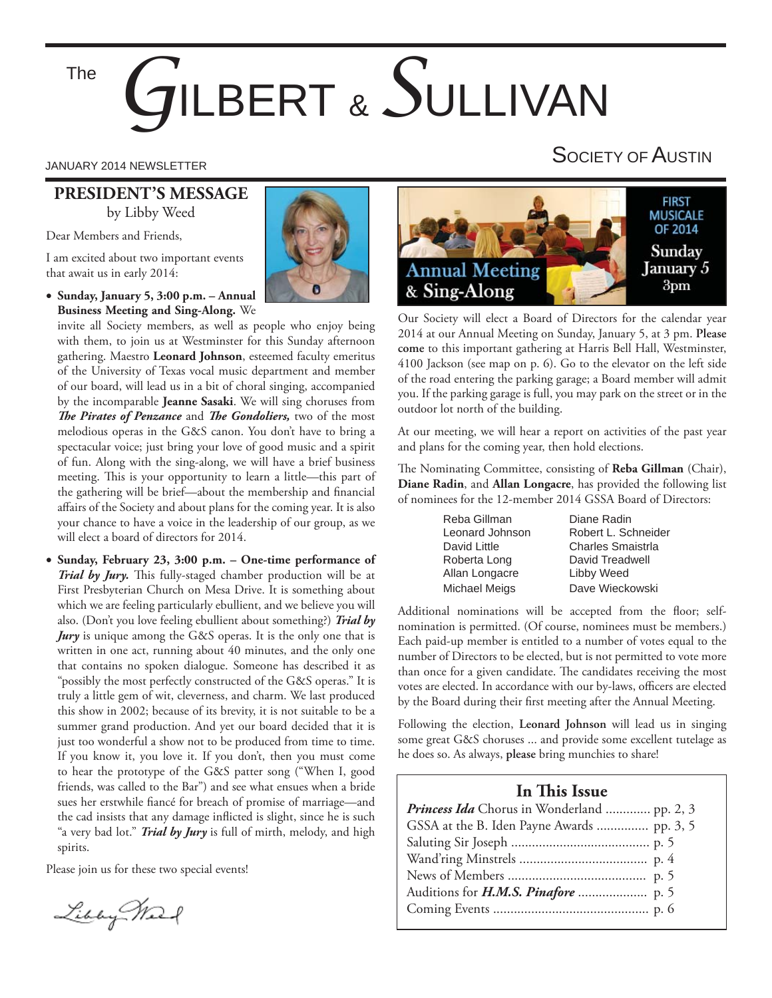# *G*ILBERT & *S*ULLIVAN The

### **PRESIDENT'S MESSAGE** by Libby Weed

Dear Members and Friends,

I am excited about two important events that await us in early 2014:

### **Sunday, January 5, 3:00 p.m. – Annual Business Meeting and Sing-Along.** We

invite all Society members, as well as people who enjoy being with them, to join us at Westminster for this Sunday afternoon gathering. Maestro **Leonard Johnson**, esteemed faculty emeritus of the University of Texas vocal music department and member of our board, will lead us in a bit of choral singing, accompanied by the incomparable **Jeanne Sasaki**. We will sing choruses from **The Pirates of Penzance** and *The Gondoliers*, two of the most melodious operas in the G&S canon. You don't have to bring a spectacular voice; just bring your love of good music and a spirit of fun. Along with the sing-along, we will have a brief business meeting. This is your opportunity to learn a little—this part of the gathering will be brief—about the membership and financial affairs of the Society and about plans for the coming year. It is also your chance to have a voice in the leadership of our group, as we will elect a board of directors for 2014.

 **Sunday, February 23, 3:00 p.m. – One-time performance of**  *Trial by Jury*. This fully-staged chamber production will be at First Presbyterian Church on Mesa Drive. It is something about which we are feeling particularly ebullient, and we believe you will also. (Don't you love feeling ebullient about something?) *Trial by Jury* is unique among the G&S operas. It is the only one that is written in one act, running about 40 minutes, and the only one that contains no spoken dialogue. Someone has described it as "possibly the most perfectly constructed of the G&S operas." It is truly a little gem of wit, cleverness, and charm. We last produced this show in 2002; because of its brevity, it is not suitable to be a summer grand production. And yet our board decided that it is just too wonderful a show not to be produced from time to time. If you know it, you love it. If you don't, then you must come to hear the prototype of the G&S patter song ("When I, good friends, was called to the Bar") and see what ensues when a bride sues her erstwhile fiancé for breach of promise of marriage—and the cad insists that any damage inflicted is slight, since he is such "a very bad lot." *Trial by Jury* is full of mirth, melody, and high spirits.

Please join us for these two special events!

Libby March



#### **FIRST MUSICALE** OF 2014 Sunday **Annual Meeting** January 5  $3<sub>pm</sub>$ & Sing-Along

Our Society will elect a Board of Directors for the calendar year 2014 at our Annual Meeting on Sunday, January 5, at 3 pm. **Please come** to this important gathering at Harris Bell Hall, Westminster, 4100 Jackson (see map on p. 6). Go to the elevator on the left side of the road entering the parking garage; a Board member will admit you. If the parking garage is full, you may park on the street or in the outdoor lot north of the building.

At our meeting, we will hear a report on activities of the past year and plans for the coming year, then hold elections.

The Nominating Committee, consisting of Reba Gillman (Chair), **Diane Radin**, and **Allan Longacre**, has provided the following list of nominees for the 12-member 2014 GSSA Board of Directors:

> Reba Gillman Diane Radin Leonard Johnson Robert L. Schneider David Little **Charles Smaistria** Roberta Long David Treadwell Allan Longacre Libby Weed Michael Meigs Dave Wieckowski

Additional nominations will be accepted from the floor; selfnomination is permitted. (Of course, nominees must be members.) Each paid-up member is entitled to a number of votes equal to the number of Directors to be elected, but is not permitted to vote more than once for a given candidate. The candidates receiving the most votes are elected. In accordance with our by-laws, officers are elected by the Board during their first meeting after the Annual Meeting.

Following the election, **Leonard Johnson** will lead us in singing some great G&S choruses ... and provide some excellent tutelage as he does so. As always, **please** bring munchies to share!

### **In This Issue**

| <i>Princess Ida</i> Chorus in Wonderland  pp. 2, 3 |  |
|----------------------------------------------------|--|
| GSSA at the B. Iden Payne Awards  pp. 3, 5         |  |
|                                                    |  |
|                                                    |  |
|                                                    |  |
|                                                    |  |
|                                                    |  |

# JANUARY 2014 NEWSLETTER SOCIETY OF  $\mathsf A$ USTIN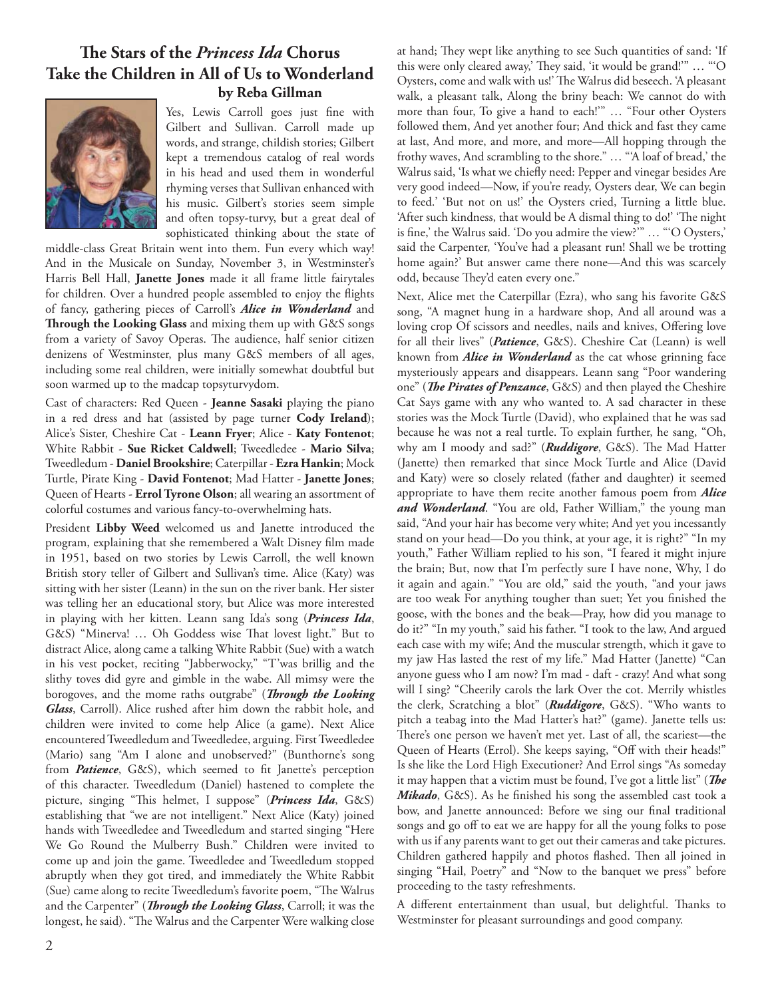### **Th e Stars of the** *Princess Ida* **Chorus Take the Children in All of Us to Wonderland by Reba Gillman**



Yes, Lewis Carroll goes just fine with Gilbert and Sullivan. Carroll made up words, and strange, childish stories; Gilbert kept a tremendous catalog of real words in his head and used them in wonderful rhyming verses that Sullivan enhanced with his music. Gilbert's stories seem simple and often topsy-turvy, but a great deal of sophisticated thinking about the state of

middle-class Great Britain went into them. Fun every which way! And in the Musicale on Sunday, November 3, in Westminster's Harris Bell Hall, **Janette Jones** made it all frame little fairytales for children. Over a hundred people assembled to enjoy the flights of fancy, gathering pieces of Carroll's *Alice in Wonderland* and Through the Looking Glass and mixing them up with G&S songs from a variety of Savoy Operas. The audience, half senior citizen denizens of Westminster, plus many G&S members of all ages, including some real children, were initially somewhat doubtful but soon warmed up to the madcap topsyturvydom.

Cast of characters: Red Queen - **Jeanne Sasaki** playing the piano in a red dress and hat (assisted by page turner **Cody Ireland**); Alice's Sister, Cheshire Cat - **Leann Fryer**; Alice - **Katy Fontenot**; White Rabbit - **Sue Ricket Caldwell**; Tweedledee - **Mario Silva**; Tweedledum - **Daniel Brookshire**; Caterpillar - **Ezra Hankin**; Mock Turtle, Pirate King - **David Fontenot**; Mad Hatter - **Janette Jones**; Queen of Hearts - **Errol Tyrone Olson**; all wearing an assortment of colorful costumes and various fancy-to-overwhelming hats.

President **Libby Weed** welcomed us and Janette introduced the program, explaining that she remembered a Walt Disney film made in 1951, based on two stories by Lewis Carroll, the well known British story teller of Gilbert and Sullivan's time. Alice (Katy) was sitting with her sister (Leann) in the sun on the river bank. Her sister was telling her an educational story, but Alice was more interested in playing with her kitten. Leann sang Ida's song (*Princess Ida*, G&S) "Minerva! ... Oh Goddess wise That lovest light." But to distract Alice, along came a talking White Rabbit (Sue) with a watch in his vest pocket, reciting "Jabberwocky," "T'was brillig and the slithy toves did gyre and gimble in the wabe. All mimsy were the borogoves, and the mome raths outgrabe" (*Through the Looking Glass*, Carroll). Alice rushed after him down the rabbit hole, and children were invited to come help Alice (a game). Next Alice encountered Tweedledum and Tweedledee, arguing. First Tweedledee (Mario) sang "Am I alone and unobserved?" (Bunthorne's song from *Patience*, G&S), which seemed to fit Janette's perception of this character. Tweedledum (Daniel) hastened to complete the picture, singing "This helmet, I suppose" (*Princess Ida*, G&S) establishing that "we are not intelligent." Next Alice (Katy) joined hands with Tweedledee and Tweedledum and started singing "Here We Go Round the Mulberry Bush." Children were invited to come up and join the game. Tweedledee and Tweedledum stopped abruptly when they got tired, and immediately the White Rabbit (Sue) came along to recite Tweedledum's favorite poem, "The Walrus and the Carpenter" (*Through the Looking Glass*, Carroll; it was the longest, he said). "The Walrus and the Carpenter Were walking close

at hand; They wept like anything to see Such quantities of sand: 'If this were only cleared away,' They said, 'it would be grand!'" ... "'O Oysters, come and walk with us!' The Walrus did beseech. 'A pleasant walk, a pleasant talk, Along the briny beach: We cannot do with more than four, To give a hand to each!'" … "Four other Oysters followed them, And yet another four; And thick and fast they came at last, And more, and more, and more—All hopping through the frothy waves, And scrambling to the shore." … "'A loaf of bread,' the Walrus said, 'Is what we chiefly need: Pepper and vinegar besides Are very good indeed—Now, if you're ready, Oysters dear, We can begin to feed.' 'But not on us!' the Oysters cried, Turning a little blue. 'After such kindness, that would be A dismal thing to do!' 'The night is fine,' the Walrus said. 'Do you admire the view?'" ... "'O Oysters,' said the Carpenter, 'You've had a pleasant run! Shall we be trotting home again?' But answer came there none—And this was scarcely odd, because They'd eaten every one."

Next, Alice met the Caterpillar (Ezra), who sang his favorite G&S song, "A magnet hung in a hardware shop, And all around was a loving crop Of scissors and needles, nails and knives, Offering love for all their lives" (*Patience*, G&S). Cheshire Cat (Leann) is well known from *Alice in Wonderland* as the cat whose grinning face mysteriously appears and disappears. Leann sang "Poor wandering one" (*The Pirates of Penzance*, G&S) and then played the Cheshire Cat Says game with any who wanted to. A sad character in these stories was the Mock Turtle (David), who explained that he was sad because he was not a real turtle. To explain further, he sang, "Oh, why am I moody and sad?" (*Ruddigore*, G&S). The Mad Hatter (Janette) then remarked that since Mock Turtle and Alice (David and Katy) were so closely related (father and daughter) it seemed appropriate to have them recite another famous poem from *Alice*  and Wonderland. "You are old, Father William," the young man said, "And your hair has become very white; And yet you incessantly stand on your head—Do you think, at your age, it is right?" "In my youth," Father William replied to his son, "I feared it might injure the brain; But, now that I'm perfectly sure I have none, Why, I do it again and again." "You are old," said the youth, "and your jaws are too weak For anything tougher than suet; Yet you finished the goose, with the bones and the beak—Pray, how did you manage to do it?" "In my youth," said his father. "I took to the law, And argued each case with my wife; And the muscular strength, which it gave to my jaw Has lasted the rest of my life." Mad Hatter (Janette) "Can anyone guess who I am now? I'm mad - daft - crazy! And what song will I sing? "Cheerily carols the lark Over the cot. Merrily whistles the clerk, Scratching a blot" (*Ruddigore*, G&S). "Who wants to pitch a teabag into the Mad Hatter's hat?" (game). Janette tells us: There's one person we haven't met yet. Last of all, the scariest-the Queen of Hearts (Errol). She keeps saying, "Off with their heads!" Is she like the Lord High Executioner? And Errol sings "As someday it may happen that a victim must be found, I've got a little list" (*The* Mikado, G&S). As he finished his song the assembled cast took a bow, and Janette announced: Before we sing our final traditional songs and go off to eat we are happy for all the young folks to pose with us if any parents want to get out their cameras and take pictures. Children gathered happily and photos flashed. Then all joined in singing "Hail, Poetry" and "Now to the banquet we press" before proceeding to the tasty refreshments.

A different entertainment than usual, but delightful. Thanks to Westminster for pleasant surroundings and good company.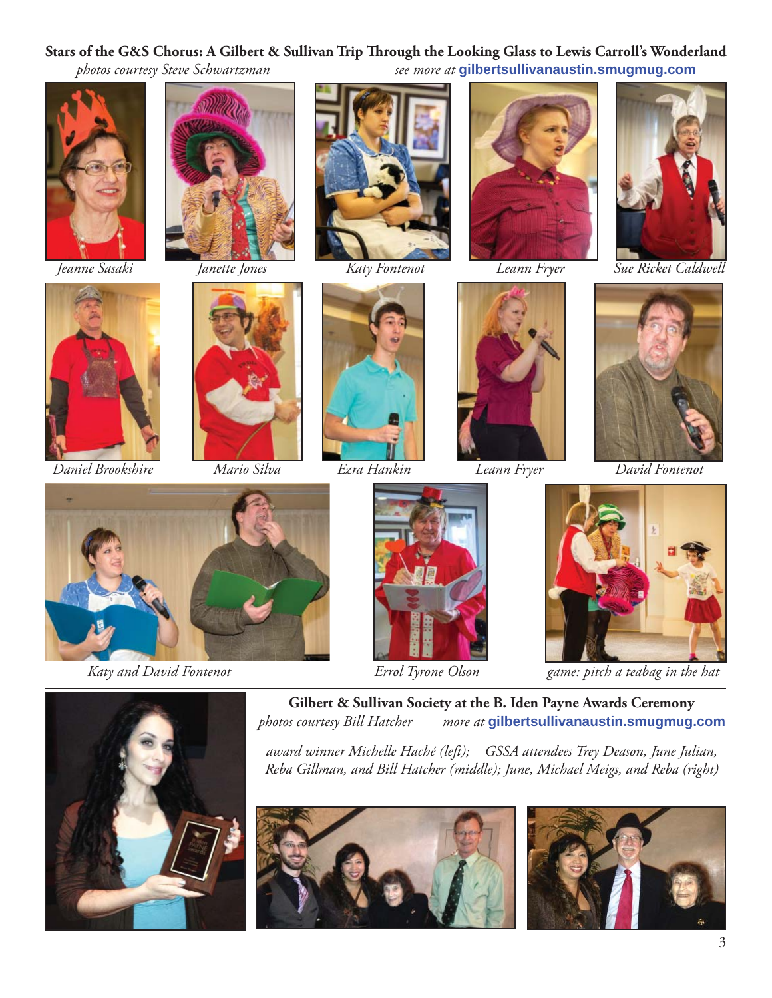### Stars of the G&S Chorus: A Gilbert & Sullivan Trip Through the Looking Glass to Lewis Carroll's Wonderland

*photos courtesy Steve Schwartzman see more at* **gilbertsullivanaustin.smugmug.com**











 *Jeanne Sasaki Janette Jones Katy Fontenot Leann Fryer Sue Ricket Caldwell*



 *Daniel Brookshire Mario Silva Ezra Hankin Leann Fryer David Fontenot*

















 *Katy and David Fontenot Errol Tyrone Olson game: pitch a teabag in the hat*



**Gilbert & Sullivan Society at the B. Iden Payne Awards Ceremony** *photos courtesy Bill Hatcher more at* **gilbertsullivanaustin.smugmug.com**

*award winner Michelle Haché (left); GSSA attendees Trey Deason, June Julian, Reba Gillman, and Bill Hatcher (middle); June, Michael Meigs, and Reba (right)*



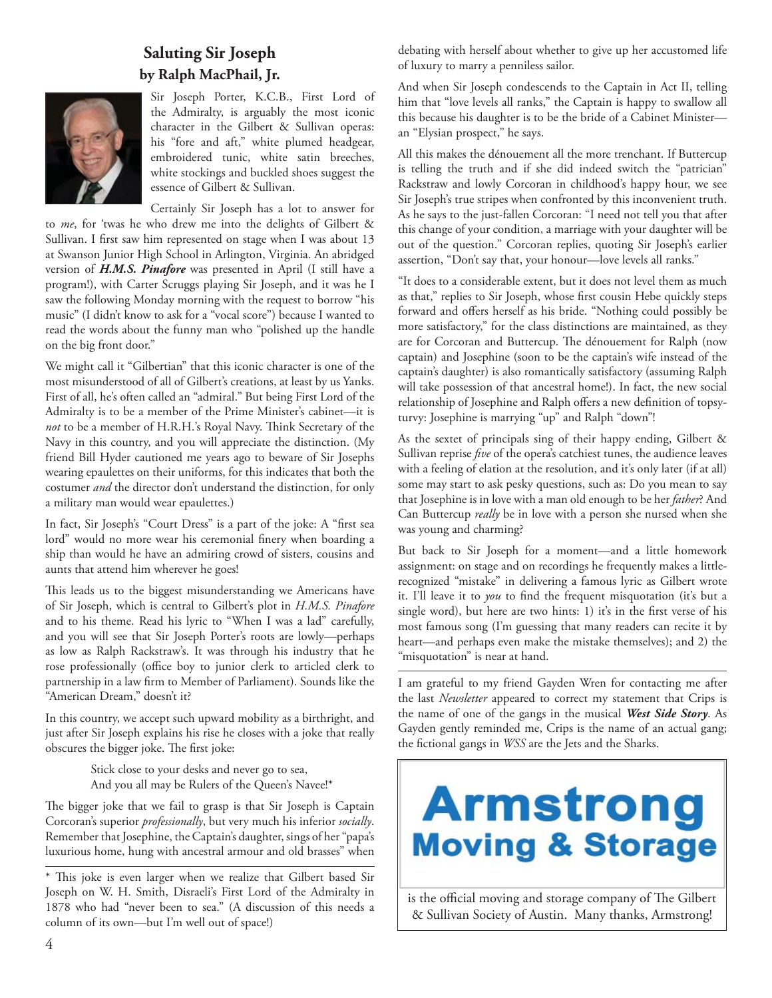### **Saluting Sir Joseph by Ralph MacPhail, Jr.**



Sir Joseph Porter, K.C.B., First Lord of the Admiralty, is arguably the most iconic character in the Gilbert & Sullivan operas: his "fore and aft," white plumed headgear, embroidered tunic, white satin breeches, white stockings and buckled shoes suggest the essence of Gilbert & Sullivan.

Certainly Sir Joseph has a lot to answer for to *me*, for 'twas he who drew me into the delights of Gilbert & Sullivan. I first saw him represented on stage when I was about 13 at Swanson Junior High School in Arlington, Virginia. An abridged version of *H.M.S. Pinafore* was presented in April (I still have a program!), with Carter Scruggs playing Sir Joseph, and it was he I saw the following Monday morning with the request to borrow "his music" (I didn't know to ask for a "vocal score") because I wanted to read the words about the funny man who "polished up the handle on the big front door."

We might call it "Gilbertian" that this iconic character is one of the most misunderstood of all of Gilbert's creations, at least by us Yanks. First of all, he's often called an "admiral." But being First Lord of the Admiralty is to be a member of the Prime Minister's cabinet—it is not to be a member of H.R.H.'s Royal Navy. Think Secretary of the Navy in this country, and you will appreciate the distinction. (My friend Bill Hyder cautioned me years ago to beware of Sir Josephs wearing epaulettes on their uniforms, for this indicates that both the costumer *and* the director don't understand the distinction, for only a military man would wear epaulettes.)

In fact, Sir Joseph's "Court Dress" is a part of the joke: A "first sea lord" would no more wear his ceremonial finery when boarding a ship than would he have an admiring crowd of sisters, cousins and aunts that attend him wherever he goes!

This leads us to the biggest misunderstanding we Americans have of Sir Joseph, which is central to Gilbert's plot in *H.M.S. Pinafore*  and to his theme. Read his lyric to "When I was a lad" carefully, and you will see that Sir Joseph Porter's roots are lowly—perhaps as low as Ralph Rackstraw's. It was through his industry that he rose professionally (office boy to junior clerk to articled clerk to partnership in a law firm to Member of Parliament). Sounds like the "American Dream," doesn't it?

In this country, we accept such upward mobility as a birthright, and just after Sir Joseph explains his rise he closes with a joke that really obscures the bigger joke. The first joke:

> Stick close to your desks and never go to sea, And you all may be Rulers of the Queen's Navee!\*

The bigger joke that we fail to grasp is that Sir Joseph is Captain Corcoran's superior *professionally*, but very much his inferior *socially*. Remember that Josephine, the Captain's daughter, sings of her "papa's luxurious home, hung with ancestral armour and old brasses" when

debating with herself about whether to give up her accustomed life of luxury to marry a penniless sailor.

And when Sir Joseph condescends to the Captain in Act II, telling him that "love levels all ranks," the Captain is happy to swallow all this because his daughter is to be the bride of a Cabinet Minister an "Elysian prospect," he says.

All this makes the dénouement all the more trenchant. If Buttercup is telling the truth and if she did indeed switch the "patrician" Rackstraw and lowly Corcoran in childhood's happy hour, we see Sir Joseph's true stripes when confronted by this inconvenient truth. As he says to the just-fallen Corcoran: "I need not tell you that after this change of your condition, a marriage with your daughter will be out of the question." Corcoran replies, quoting Sir Joseph's earlier assertion, "Don't say that, your honour—love levels all ranks."

"It does to a considerable extent, but it does not level them as much as that," replies to Sir Joseph, whose first cousin Hebe quickly steps forward and offers herself as his bride. "Nothing could possibly be more satisfactory," for the class distinctions are maintained, as they are for Corcoran and Buttercup. The dénouement for Ralph (now captain) and Josephine (soon to be the captain's wife instead of the captain's daughter) is also romantically satisfactory (assuming Ralph will take possession of that ancestral home!). In fact, the new social relationship of Josephine and Ralph offers a new definition of topsyturvy: Josephine is marrying "up" and Ralph "down"!

As the sextet of principals sing of their happy ending, Gilbert & Sullivan reprise *five* of the opera's catchiest tunes, the audience leaves with a feeling of elation at the resolution, and it's only later (if at all) some may start to ask pesky questions, such as: Do you mean to say that Josephine is in love with a man old enough to be her *father*? And Can Buttercup *really* be in love with a person she nursed when she was young and charming?

But back to Sir Joseph for a moment—and a little homework assignment: on stage and on recordings he frequently makes a littlerecognized "mistake" in delivering a famous lyric as Gilbert wrote it. I'll leave it to *you* to find the frequent misquotation (it's but a single word), but here are two hints: 1) it's in the first verse of his most famous song (I'm guessing that many readers can recite it by heart—and perhaps even make the mistake themselves); and 2) the "misquotation" is near at hand.

I am grateful to my friend Gayden Wren for contacting me after the last *Newsletter* appeared to correct my statement that Crips is the name of one of the gangs in the musical *West Side Story*. As Gayden gently reminded me, Crips is the name of an actual gang; the fictional gangs in *WSS* are the Jets and the Sharks.

# **Armstrong Moving & Storage**

is the official moving and storage company of The Gilbert & Sullivan Society of Austin. Many thanks, Armstrong!

<sup>\*</sup> This joke is even larger when we realize that Gilbert based Sir Joseph on W. H. Smith, Disraeli's First Lord of the Admiralty in 1878 who had "never been to sea." (A discussion of this needs a column of its own—but I'm well out of space!)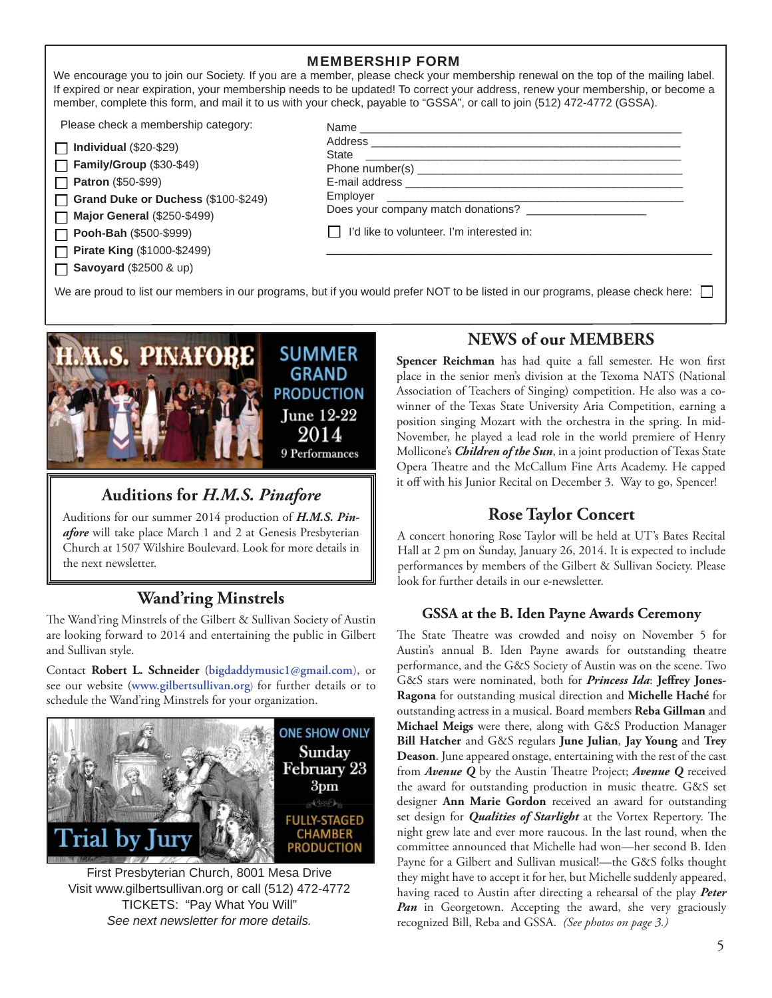### MEMBERSHIP FORM

We encourage you to join our Society. If you are a member, please check your membership renewal on the top of the mailing label. If expired or near expiration, your membership needs to be updated! To correct your address, renew your membership, or become a member, complete this form, and mail it to us with your check, payable to "GSSA", or call to join (512) 472-4772 (GSSA).

Please check a membership category:

| $\Box$ Individual (\$20-\$29) |  |
|-------------------------------|--|
|                               |  |

**Family/Group** (\$30-\$49) **Patron** (\$50-\$99)

 $\Box$ 

**Grand Duke or Duchess** (\$100-\$249) П

**Major General** (\$250-\$499)  $\Box$ 

**Pooh-Bah** (\$500-\$999)  $\Box$ 

**Pirate King** (\$1000-\$2499)

**Savoyard** (\$2500 & up) П

| <b>State</b> | the control of the control of the control of the control of the control of the control of |  |
|--------------|-------------------------------------------------------------------------------------------|--|
|              |                                                                                           |  |
|              |                                                                                           |  |
|              |                                                                                           |  |
|              | Does your company match donations?                                                        |  |
|              | $\mathsf{I}$   I'd like to volunteer. I'm interested in:                                  |  |

We are proud to list our members in our programs, but if you would prefer NOT to be listed in our programs, please check here:



# **Auditions for** *H.M.S. Pinafore*

Auditions for our summer 2014 production of *H.M.S. Pinafore* will take place March 1 and 2 at Genesis Presbyterian Church at 1507 Wilshire Boulevard. Look for more details in the next newsletter.

## **Wand'ring Minstrels**

The Wand'ring Minstrels of the Gilbert & Sullivan Society of Austin are looking forward to 2014 and entertaining the public in Gilbert and Sullivan style.

Contact **Robert L. Schneider** (**bigdaddymusic1@gmail.com**), or see our website (**www.gilbertsullivan.org**) for further details or to schedule the Wand'ring Minstrels for your organization.



First Presbyterian Church, 8001 Mesa Drive Visit www.gilbertsullivan.org or call (512) 472-4772 TICKETS: "Pay What You Will" *See next newsletter for more details.*

### **NEWS of our MEMBERS**

Spencer Reichman has had quite a fall semester. He won first place in the senior men's division at the Texoma NATS (National Association of Teachers of Singing) competition. He also was a cowinner of the Texas State University Aria Competition, earning a position singing Mozart with the orchestra in the spring. In mid-November, he played a lead role in the world premiere of Henry Mollicone's *Children of the Sun*, in a joint production of Texas State Opera Theatre and the McCallum Fine Arts Academy. He capped it off with his Junior Recital on December 3. Way to go, Spencer!

### **Rose Taylor Concert**

A concert honoring Rose Taylor will be held at UT's Bates Recital Hall at 2 pm on Sunday, January 26, 2014. It is expected to include performances by members of the Gilbert & Sullivan Society. Please look for further details in our e-newsletter.

### **GSSA at the B. Iden Payne Awards Ceremony**

The State Theatre was crowded and noisy on November 5 for Austin's annual B. Iden Payne awards for outstanding theatre performance, and the G&S Society of Austin was on the scene. Two G&S stars were nominated, both for *Princess Ida*: Jeffrey Jones-**Ragona** for outstanding musical direction and **Michelle Haché** for outstanding actress in a musical. Board members **Reba Gillman** and **Michael Meigs** were there, along with G&S Production Manager **Bill Hatcher** and G&S regulars **June Julian**, **Jay Young** and **Trey Deason**. June appeared onstage, entertaining with the rest of the cast from *Avenue O* by the Austin Theatre Project; *Avenue O* received the award for outstanding production in music theatre. G&S set designer **Ann Marie Gordon** received an award for outstanding set design for *Qualities of Starlight* at the Vortex Repertory. The night grew late and ever more raucous. In the last round, when the committee announced that Michelle had won—her second B. Iden Payne for a Gilbert and Sullivan musical!—the G&S folks thought they might have to accept it for her, but Michelle suddenly appeared, having raced to Austin after directing a rehearsal of the play *Peter Pan* in Georgetown. Accepting the award, she very graciously recognized Bill, Reba and GSSA. *(See photos on page 3.)*